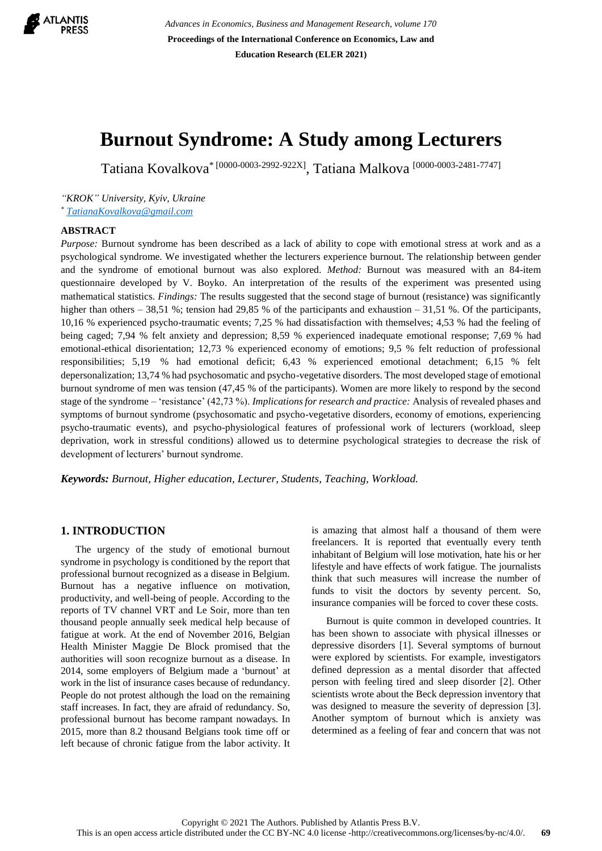

*Advances in Economics, Business and Management Research, volume 170* **Proceedings of the International Conference on Economics, Law and Education Research (ELER 2021)**

# **Burnout Syndrome: A Study among Lecturers**

Tatіana Kovalkova\* [0000-0003-2992-922X] , Tatіana Malkova [0000-0003-2481-7747]

*"KROK" University, Kyiv, Ukraine \* [TatianaKovalkova@gmail.com](mailto:TatianaKovalkova@gmail.com)*

#### **ABSTRACT**

*Purpose:* Burnout syndrome has been described as a lack of ability to cope with emotional stress at work and as a psychological syndrome. We investigated whether the lecturers experience burnout. The relationship between gender and the syndrome of emotional burnout was also explored. *Method:* Burnout was measured with an 84-item questionnaire developed by V. Boyko. An interpretation of the results of the experiment was presented using mathematical statistics. *Findings:* The results suggested that the second stage of burnout (resistance) was significantly higher than others – 38,51 %; tension had 29,85 % of the participants and exhaustion – 31,51 %. Of the participants, 10,16 % experienced psycho-traumatic events; 7,25 % had dissatisfaction with themselves; 4,53 % had the feeling of being caged; 7,94 % felt anxiety and depression; 8,59 % experienced inadequate emotional response; 7,69 % had emotional-ethical disorientation; 12,73 % experienced economy of emotions; 9,5 % felt reduction of professional responsibilities; 5,19 % had emotional deficit; 6,43 % experienced emotional detachment; 6,15 % felt depersonalization; 13,74 % had psychosomatic and psycho-vegetative disorders. The most developed stage of emotional burnout syndrome of men was tension (47,45 % of the participants). Women are more likely to respond by the second stage of the syndrome – 'resistance' (42,73 %). *Implications for research and practice:* Analysis of revealed phases and symptoms of burnout syndrome (psychosomatic and psycho-vegetative disorders, economy of emotions, experiencing psycho-traumatic events), and psycho-physiological features of professional work of lecturers (workload, sleep deprivation, work in stressful conditions) allowed us to determine psychological strategies to decrease the risk of development of lecturers' burnout syndrome.

*Keywords: Burnout, Higher education, Lecturer, Students, Teaching, Workload.*

### **1. INTRODUCTION**

The urgency of the study of emotional burnout syndrome in psychology is conditioned by the report that professional burnout recognized as a disease in Belgium. Burnout has a negative influence on motivation, productivity, and well-being of people. According to the reports of TV channel VRT and Le Soir, more than ten thousand people annually seek medical help because of fatigue at work. At the end of November 2016, Belgian Health Minister Maggie De Block promised that the authorities will soon recognize burnout as a disease. In 2014, some employers of Belgium made a 'burnout' at work in the list of insurance cases because of redundancy. People do not protest although the load on the remaining staff increases. In fact, they are afraid of redundancy. So, professional burnout has become rampant nowadays. In 2015, more than 8.2 thousand Belgians took time off or left because of chronic fatigue from the labor activity. It is amazing that almost half a thousand of them were freelancers. It is reported that eventually every tenth inhabitant of Belgium will lose motivation, hate his or her lifestyle and have effects of work fatigue. The journalists think that such measures will increase the number of funds to visit the doctors by seventy percent. So, insurance companies will be forced to cover these costs.

Burnout is quite common in developed countries. It has been shown to associate with physical illnesses or depressive disorders [1]. Several symptoms of burnout were explored by scientists. For example, investigators defined depression as a mental disorder that affected person with feeling tired and sleep disorder [2]. Other scientists wrote about the Beck depression inventory that was designed to measure the severity of depression [3]. Another symptom of burnout which is anxiety was determined as a feeling of fear and concern that was not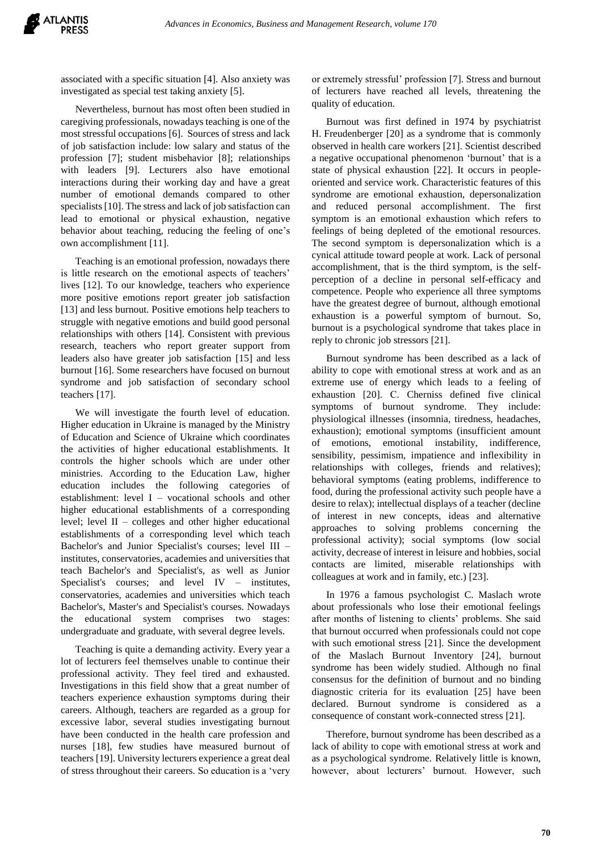associated with a specific situation [4]. Also anxiety was investigated as special test taking anxiety [5].

Nevertheless, burnout has most often been studied in caregiving professionals, nowadays teaching is one of the most stressful occupations [6]. Sources of stress and lack of job satisfaction include: low salary and status of the profession [7]; student misbehavior [8]; relationships with leaders [9]. Lecturers also have emotional interactions during their working day and have a great number of emotional demands compared to other specialists [10]. The stress and lack of job satisfaction can lead to emotional or physical exhaustion, negative behavior about teaching, reducing the feeling of one's own accomplishment [11].

Teaching is an emotional profession, nowadays there is little research on the emotional aspects of teachers' lives [12]. To our knowledge, teachers who experience more positive emotions report greater job satisfaction [13] and less burnout. Positive emotions help teachers to struggle with negative emotions and build good personal relationships with others [14]. Consistent with previous research, teachers who report greater support from leaders also have greater job satisfaction [15] and less burnout [16]. Some researchers have focused on burnout syndrome and job satisfaction of secondary school teachers [17].

We will investigate the fourth level of education. Higher education in Ukraine is managed by the Ministry of Education and Science of Ukraine which coordinates the activities of higher educational establishments. It controls the higher schools which are under other ministries. According to the Education Law, higher education includes the following categories of establishment: level I – vocational schools and other higher educational establishments of a corresponding level; level II – colleges and other higher educational establishments of a corresponding level which teach Bachelor's and Junior Specialist's courses; level III – institutes, conservatories, academies and universities that teach Bachelor's and Specialist's, as well as Junior Specialist's courses; and level IV – institutes, conservatories, academies and universities which teach Bachelor's, Master's and Specialist's courses. Nowadays the educational system comprises two stages: undergraduate and graduate, with several degree levels.

Teaching is quite a demanding activity. Every year a lot of lecturers feel themselves unable to continue their professional activity. They feel tired and exhausted. Investigations in this field show that a great number of teachers experience exhaustion symptoms during their careers. Although, teachers are regarded as a group for excessive labor, several studies investigating burnout have been conducted in the health care profession and nurses [18], few studies have measured burnout of teachers [19]. University lecturers experience a great deal of stress throughout their careers. So education is a 'very or extremely stressful' profession [7]. Stress and burnout of lecturers have reached all levels, threatening the quality of education.

Burnout was first defined in 1974 by psychiatrist H. Freudenberger [20] as a syndrome that is commonly observed in health care workers [21]. Scientist described a negative occupational phenomenon 'burnout' that is a state of physical exhaustion [22]. It occurs in peopleoriented and service work. Characteristic features of this syndrome are emotional exhaustion, depersonalization and reduced personal accomplishment. The first symptom is an emotional exhaustion which refers to feelings of being depleted of the emotional resources. The second symptom is depersonalization which is a cynical attitude toward people at work. Lack of personal accomplishment, that is the third symptom, is the selfperception of a decline in personal self-efficacy and competence. People who experience all three symptoms have the greatest degree of burnout, although emotional exhaustion is a powerful symptom of burnout. So, burnout is a psychological syndrome that takes place in reply to chronic job stressors [21].

Burnout syndrome has been described as a lack of ability to cope with emotional stress at work and as an extreme use of energy which leads to a feeling of exhaustion [20]. С. Cherniss defined five clinical symptoms of burnout syndrome. They include: physiological illnesses (insomnia, tiredness, headaches, exhaustion); emotional symptoms (insufficient amount of emotions, emotional instability, indifference, sensibility, pessimism, impatience and inflexibility in relationships with colleges, friends and relatives); behavioral symptoms (eating problems, indifference to food, during the professional activity such people have a desire to relax); intellectual displays of a teacher (decline of interest in new concepts, ideas and alternative approaches to solving problems concerning the professional activity); social symptoms (low social activity, decrease of interest in leisure and hobbies, social contacts are limited, miserable relationships with colleagues at work and in family, etc.) [23].

In 1976 a famous psychologist C. Maslach wrote about professionals who lose their emotional feelings after months of listening to clients' problems. She said that burnout occurred when professionals could not cope with such emotional stress [21]. Since the development of the Maslach Burnout Inventory [24], burnout syndrome has been widely studied. Although no final consensus for the definition of burnout and no binding diagnostic criteria for its evaluation [25] have been declared. Burnout syndrome is considered as a consequence of constant work-connected stress [21].

Therefore, burnout syndrome has been described as a lack of ability to cope with emotional stress at work and as a psychological syndrome. Relatively little is known, however, about lecturers' burnout. However, such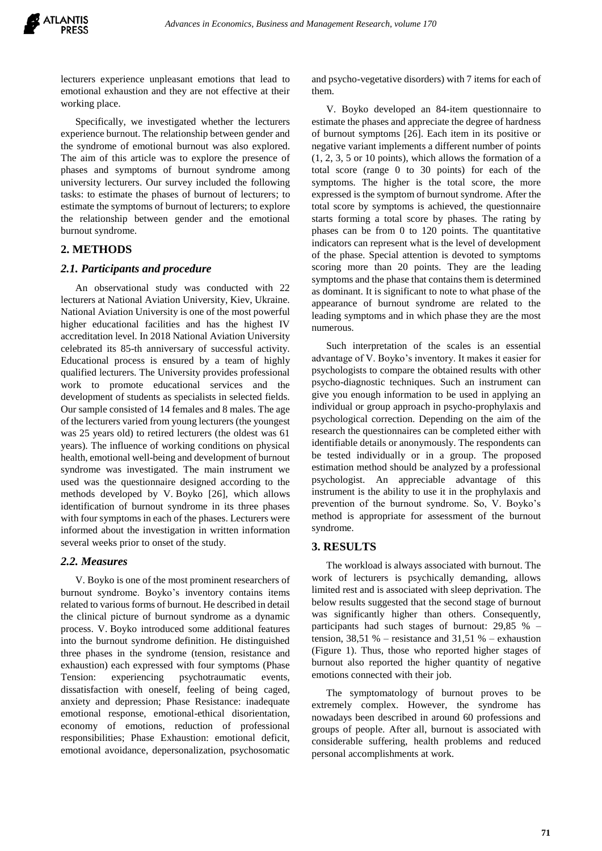lecturers experience unpleasant emotions that lead to emotional exhaustion and they are not effective at their working place.

Specifically, we investigated whether the lecturers experience burnout. The relationship between gender and the syndrome of emotional burnout was also explored. The aim of this article was to explore the presence of phases and symptoms of burnout syndrome among university lecturers. Our survey included the following tasks: to estimate the phases of burnout of lecturers; to estimate the symptoms of burnout of lecturers; to explore the relationship between gender and the emotional burnout syndrome.

## **2. METHODS**

### *2.1. Participants and procedure*

An observational study was conducted with 22 lecturers at National Aviation University, Kiev, Ukraine. National Aviation University is one of the most powerful higher educational facilities and has the highest IV accreditation level. In 2018 National Aviation University celebrated its 85-th anniversary of successful activity. Educational process is ensured by a team of highly qualified lecturers. The University provides professional work to promote educational services and the development of students as specialists in selected fields. Our sample consisted of 14 females and 8 males. The age of the lecturers varied from young lecturers (the youngest was 25 years old) to retired lecturers (the oldest was 61 years). The influence of working conditions on physical health, emotional well-being and development of burnout syndrome was investigated. The main instrument we used was the questionnaire designed according to the methods developed by V. Boyko [26], which allows identification of burnout syndrome in its three phases with four symptoms in each of the phases. Lecturers were informed about the investigation in written information several weeks prior to onset of the study.

### *2.2. Measures*

V. Boyko is one of the most prominent researchers of burnout syndrome. Boyko's inventory contains items related to various forms of burnout. He described in detail the clinical picture of burnout syndrome as a dynamic process. V. Boyko introduced some additional features into the burnout syndrome definition. He distinguished three phases in the syndrome (tension, resistance and exhaustion) each expressed with four symptoms (Phase Tension: experiencing psychotraumatic events, dissatisfaction with oneself, feeling of being caged, anxiety and depression; Phase Resistance: inadequate emotional response, emotional-ethical disorientation, economy of emotions, reduction of professional responsibilities; Phase Exhaustion: emotional deficit, emotional avoidance, depersonalization, psychosomatic and psycho-vegetative disorders) with 7 items for each of them.

V. Boyko developed an 84-item questionnaire to estimate the phases and appreciate the degree of hardness of burnout symptoms [26]. Each item in its positive or negative variant implements a different number of points (1, 2, 3, 5 or 10 points), which allows the formation of a total score (range 0 to 30 points) for each of the symptoms. The higher is the total score, the more expressed is the symptom of burnout syndrome. After the total score by symptoms is achieved, the questionnaire starts forming a total score by phases. The rating by phases can be from 0 to 120 points. The quantitative indicators can represent what is the level of development of the phase. Special attention is devoted to symptoms scoring more than 20 points. They are the leading symptoms and the phase that contains them is determined as dominant. It is significant to note to what phase of the appearance of burnout syndrome are related to the leading symptoms and in which phase they are the most numerous.

Such interpretation of the scales is an essential advantage of V. Boyko's inventory. It makes it easier for psychologists to compare the obtained results with other psycho-diagnostic techniques. Such an instrument can give you enough information to be used in applying an individual or group approach in psycho-prophylaxis and psychological correction. Depending on the aim of the research the questionnaires can be completed either with identifiable details or anonymously. The respondents can be tested individually or in a group. The proposed estimation method should be analyzed by a professional psychologist. An appreciable advantage of this instrument is the ability to use it in the prophylaxis and prevention of the burnout syndrome. So, V. Boyko's method is appropriate for assessment of the burnout syndrome.

### **3. RESULTS**

The workload is always associated with burnout. The work of lecturers is psychically demanding, allows limited rest and is associated with sleep deprivation. The below results suggested that the second stage of burnout was significantly higher than others. Consequently, participants had such stages of burnout: 29,85 % – tension,  $38.51\%$  – resistance and  $31.51\%$  – exhaustion (Figure 1). Thus, those who reported higher stages of burnout also reported the higher quantity of negative emotions connected with their job.

The symptomatology of burnout proves to be extremely complex. However, the syndrome has nowadays been described in around 60 professions and groups of people. After all, burnout is associated with considerable suffering, health problems and reduced personal accomplishments at work.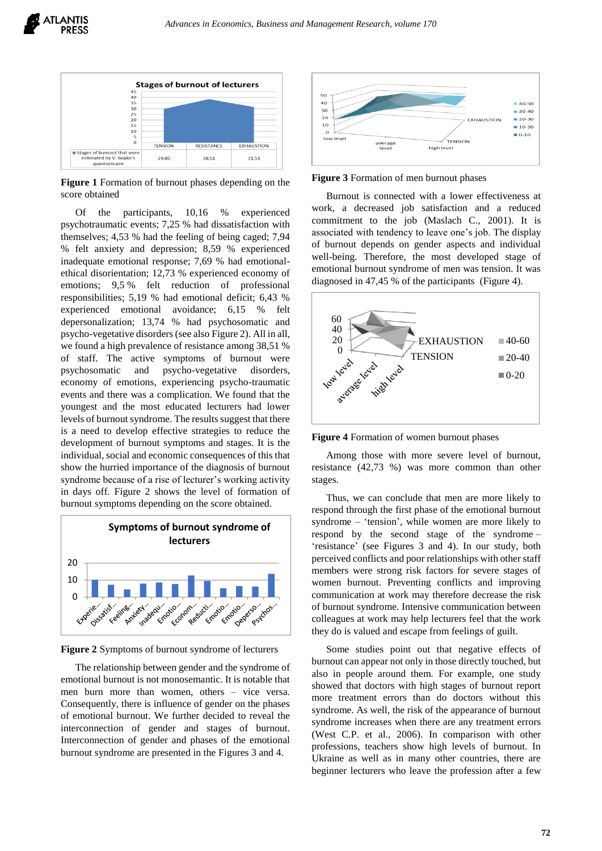

**Figure 1** Formation of burnout phases depending on the score obtained

Of the participants, 10,16 % experienced psychotraumatic events; 7,25 % had dissatisfaction with themselves; 4,53 % had the feeling of being caged; 7,94 % felt anxiety and depression; 8,59 % experienced inadequate emotional response; 7,69 % had emotionalethical disorientation; 12,73 % experienced economy of emotions; 9,5 % felt reduction of professional responsibilities; 5,19 % had emotional deficit; 6,43 % experienced emotional avoidance; 6,15 % felt depersonalization; 13,74 % had psychosomatic and psycho-vegetative disorders (see also Figure 2). All in all, we found a high prevalence of resistance among 38,51 % of staff. The active symptoms of burnout were psychosomatic and psycho-vegetative disorders, economy of emotions, experiencing psycho-traumatic events and there was a complication. We found that the youngest and the most educated lecturers had lower levels of burnout syndrome. The results suggest that there is a need to develop effective strategies to reduce the development of burnout symptoms and stages. It is the individual, social and economic consequences of this that show the hurried importance of the diagnosis of burnout syndrome because of a rise of lecturer's working activity in days off. Figure 2 shows the level of formation of burnout symptoms depending on the score obtained.



**Figure 2** Symptoms of burnout syndrome of lecturers

The relationship between gender and the syndrome of emotional burnout is not monosemantic. It is notable that men burn more than women, others – vice versa. Consequently, there is influence of gender on the phases of emotional burnout. We further decided to reveal the interconnection of gender and stages of burnout. Interconnection of gender and phases of the emotional burnout syndrome are presented in the Figures 3 and 4.



**Figure 3** Formation of men burnout phases

Burnout is connected with a lower effectiveness at work, a decreased job satisfaction and a reduced commitment to the job (Maslach C., 2001). It is associated with tendency to leave one's job. The display of burnout depends on gender aspects and individual well-being. Therefore, the most developed stage of emotional burnout syndrome of men was tension. It was diagnosed in 47,45 % of the participants (Figure 4).



**Figure 4** Formation of women burnout phases

Among those with more severe level of burnout, resistance (42,73 %) was more common than other stages.

Thus, we can conclude that men are more likely to respond through the first phase of the emotional burnout syndrome – 'tension', while women are more likely to respond by the second stage of the syndrome – 'resistance' (see Figures 3 and 4). In our study, both perceived conflicts and poor relationships with other staff members were strong risk factors for severe stages of women burnout. Preventing conflicts and improving communication at work may therefore decrease the risk of burnout syndrome. Intensive communication between colleagues at work may help lecturers feel that the work they do is valued and escape from feelings of guilt.

Some studies point out that negative effects of burnout can appear not only in those directly touched, but also in people around them. For example, one study showed that doctors with high stages of burnout report more treatment errors than do doctors without this syndrome. As well, the risk of the appearance of burnout syndrome increases when there are any treatment errors (West C.P. et al., 2006). In comparison with other professions, teachers show high levels of burnout. In Ukraine as well as in many other countries, there are beginner lecturers who leave the profession after a few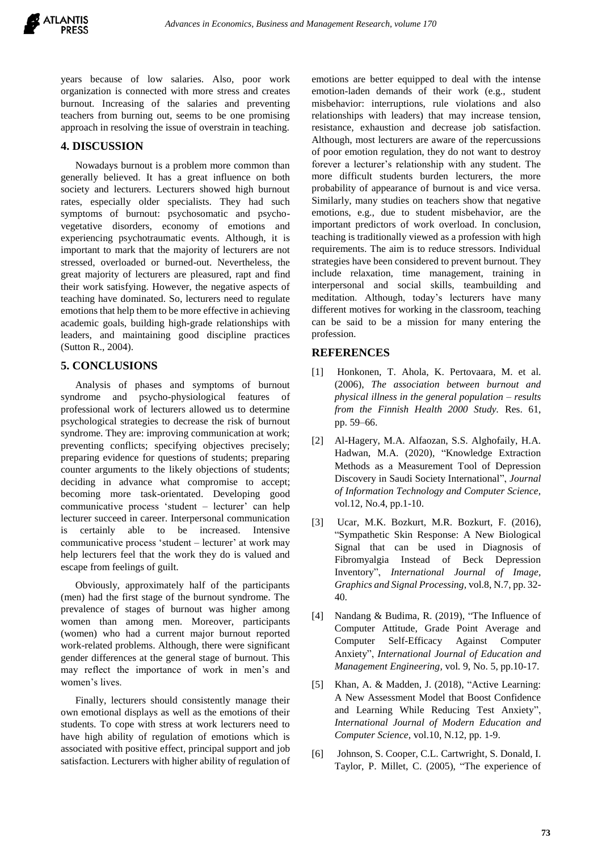years because of low salaries. Also, poor work organization is connected with more stress and creates burnout. Increasing of the salaries and preventing teachers from burning out, seems to be one promising approach in resolving the issue of overstrain in teaching.

## **4. DISCUSSION**

Nowadays burnout is a problem more common than generally believed. It has a great influence on both society and lecturers. Lecturers showed high burnout rates, especially older specialists. They had such symptoms of burnout: psychosomatic and psychovegetative disorders, economy of emotions and experiencing psychotraumatic events. Although, it is important to mark that the majority of lecturers are not stressed, overloaded or burned-out. Nevertheless, the great majority of lecturers are pleasured, rapt and find their work satisfying. However, the negative aspects of teaching have dominated. So, lecturers need to regulate emotions that help them to be more effective in achieving academic goals, building high-grade relationships with leaders, and maintaining good discipline practices (Sutton R., 2004).

## **5. CONCLUSIONS**

Analysis of phases and symptoms of burnout syndrome and psycho-physiological features of professional work of lecturers allowed us to determine psychological strategies to decrease the risk of burnout syndrome. They are: improving communication at work; preventing conflicts; specifying objectives precisely; preparing evidence for questions of students; preparing counter arguments to the likely objections of students; deciding in advance what compromise to accept; becoming more task-orientated. Developing good communicative process 'student – lecturer' can help lecturer succeed in career. Interpersonal communication is certainly able to be increased. Intensive communicative process 'student – lecturer' at work may help lecturers feel that the work they do is valued and escape from feelings of guilt.

Obviously, approximately half of the participants (men) had the first stage of the burnout syndrome. The prevalence of stages of burnout was higher among women than among men. Moreover, participants (women) who had a current major burnout reported work-related problems. Although, there were significant gender differences at the general stage of burnout. This may reflect the importance of work in men's and women's lives.

Finally, lecturers should consistently manage their own emotional displays as well as the emotions of their students. To cope with stress at work lecturers need to have high ability of regulation of emotions which is associated with positive effect, principal support and job satisfaction. Lecturers with higher ability of regulation of emotions are better equipped to deal with the intense emotion-laden demands of their work (e.g., student misbehavior: interruptions, rule violations and also relationships with leaders) that may increase tension, resistance, exhaustion and decrease job satisfaction. Although, most lecturers are aware of the repercussions of poor emotion regulation, they do not want to destroy forever a lecturer's relationship with any student. The more difficult students burden lecturers, the more probability of appearance of burnout is and vice versa. Similarly, many studies on teachers show that negative emotions, e.g., due to student misbehavior, are the important predictors of work overload. In conclusion, teaching is traditionally viewed as a profession with high requirements. The aim is to reduce stressors. Individual strategies have been considered to prevent burnout. They include relaxation, time management, training in interpersonal and social skills, teambuilding and meditation. Although, today's lecturers have many different motives for working in the classroom, teaching can be said to be a mission for many entering the profession.

## **REFERENCES**

- [1] Honkonen, T. Ahola, K. Pertovaara, M. et al. (2006), *The association between burnout and physical illness in the general population – results from the Finnish Health 2000 Study.* Res. 61, pp. 59–66.
- [2] Al-Hagery, M.A. Alfaozan, S.S. Alghofaily, H.A. Hadwan, M.A. (2020), "Knowledge Extraction Methods as a Measurement Tool of Depression Discovery in Saudi Society International", *Journal of Information Technology and Computer Science,* vol.12, No.4, pp.1-10.
- [3] Ucar, M.K. Bozkurt, M.R. Bozkurt, F. (2016), "Sympathetic Skin Response: A New Biological Signal that can be used in Diagnosis of Fibromyalgia Instead of Beck Depression Inventory", *International Journal of Image, Graphics and Signal Processing,* vol.8, N.7, pp. 32- 40.
- [4] Nandang & Budima, R. (2019), "The Influence of Computer Attitude, Grade Point Average and Computer Self-Efficacy Against Computer Anxiety", *International Journal of Education and Management Engineering,* vol. 9, No. 5, pp.10-17.
- [5] Khan, A. & Madden, J. (2018), "Active Learning: A New Assessment Model that Boost Confidence and Learning While Reducing Test Anxiety", *International Journal of Modern Education and Computer Science,* vol.10, N.12, pp. 1-9.
- [6] Johnson, S. Cooper, C.L. Cartwright, S. Donald, I. Taylor, P. Millet, C. (2005), "The experience of